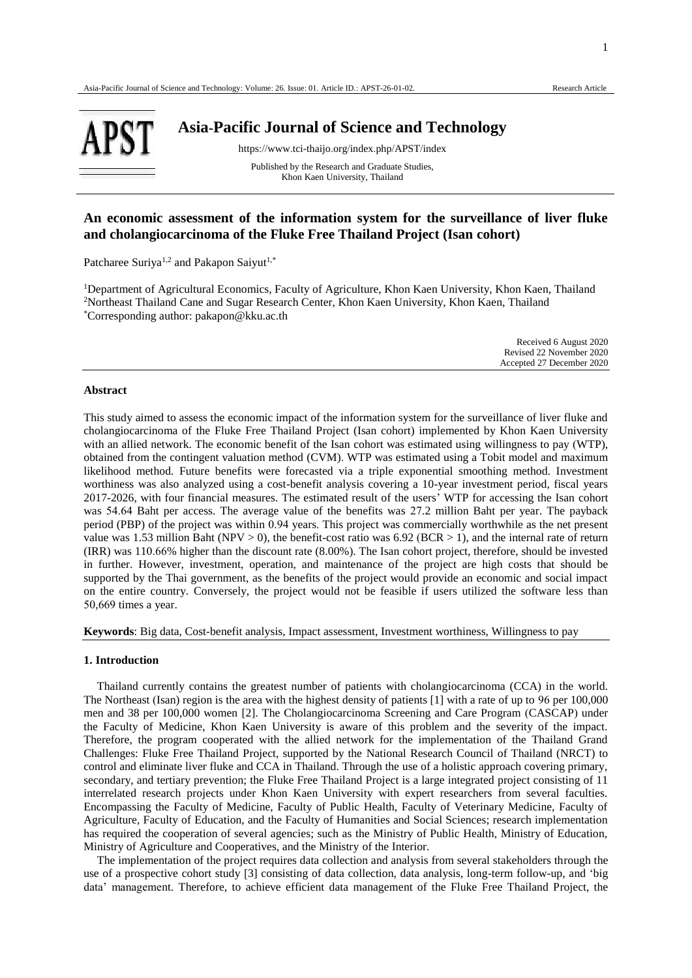

# **Asia-Pacific Journal of Science and Technology**

https://www.tci-thaijo.org/index.php/APST/index

Published by the Research and Graduate Studies, Khon Kaen University, Thailand

# **An economic assessment of the information system for the surveillance of liver fluke and cholangiocarcinoma of the Fluke Free Thailand Project (Isan cohort)**

Patcharee Suriya<sup>1,2</sup> and Pakapon Saiyut<sup>1,\*</sup>

<sup>1</sup>Department of Agricultural Economics, Faculty of Agriculture, Khon Kaen University, Khon Kaen, Thailand <sup>2</sup>Northeast Thailand Cane and Sugar Research Center, Khon Kaen University, Khon Kaen, Thailand \*Corresponding author: pakapon@kku.ac.th

| Received 6 August 2020    |
|---------------------------|
| Revised 22 November 2020  |
| Accepted 27 December 2020 |

# **Abstract**

This study aimed to assess the economic impact of the information system for the surveillance of liver fluke and cholangiocarcinoma of the Fluke Free Thailand Project (Isan cohort) implemented by Khon Kaen University with an allied network. The economic benefit of the Isan cohort was estimated using willingness to pay (WTP), obtained from the contingent valuation method (CVM). WTP was estimated using a Tobit model and maximum likelihood method. Future benefits were forecasted via a triple exponential smoothing method. Investment worthiness was also analyzed using a cost-benefit analysis covering a 10-year investment period, fiscal years 2017-2026, with four financial measures. The estimated result of the users' WTP for accessing the Isan cohort was 54.64 Baht per access. The average value of the benefits was 27.2 million Baht per year. The payback period (PBP) of the project was within 0.94 years. This project was commercially worthwhile as the net present value was 1.53 million Baht (NPV  $> 0$ ), the benefit-cost ratio was 6.92 (BCR  $> 1$ ), and the internal rate of return (IRR) was 110.66% higher than the discount rate (8.00%). The Isan cohort project, therefore, should be invested in further. However, investment, operation, and maintenance of the project are high costs that should be supported by the Thai government, as the benefits of the project would provide an economic and social impact on the entire country. Conversely, the project would not be feasible if users utilized the software less than 50,669 times a year.

**Keywords**: Big data, Cost-benefit analysis, Impact assessment, Investment worthiness, Willingness to pay

#### **1. Introduction**

Thailand currently contains the greatest number of patients with cholangiocarcinoma (CCA) in the world. The Northeast (Isan) region is the area with the highest density of patients [1] with a rate of up to 96 per 100,000 men and 38 per 100,000 women [2]. The Cholangiocarcinoma Screening and Care Program (CASCAP) under the Faculty of Medicine, Khon Kaen University is aware of this problem and the severity of the impact. Therefore, the program cooperated with the allied network for the implementation of the Thailand Grand Challenges: Fluke Free Thailand Project, supported by the National Research Council of Thailand (NRCT) to control and eliminate liver fluke and CCA in Thailand. Through the use of a holistic approach covering primary, secondary, and tertiary prevention; the Fluke Free Thailand Project is a large integrated project consisting of 11 interrelated research projects under Khon Kaen University with expert researchers from several faculties. Encompassing the Faculty of Medicine, Faculty of Public Health, Faculty of Veterinary Medicine, Faculty of Agriculture, Faculty of Education, and the Faculty of Humanities and Social Sciences; research implementation has required the cooperation of several agencies; such as the Ministry of Public Health, Ministry of Education, Ministry of Agriculture and Cooperatives, and the Ministry of the Interior.

The implementation of the project requires data collection and analysis from several stakeholders through the use of a prospective cohort study [3] consisting of data collection, data analysis, long-term follow-up, and 'big data' management. Therefore, to achieve efficient data management of the Fluke Free Thailand Project, the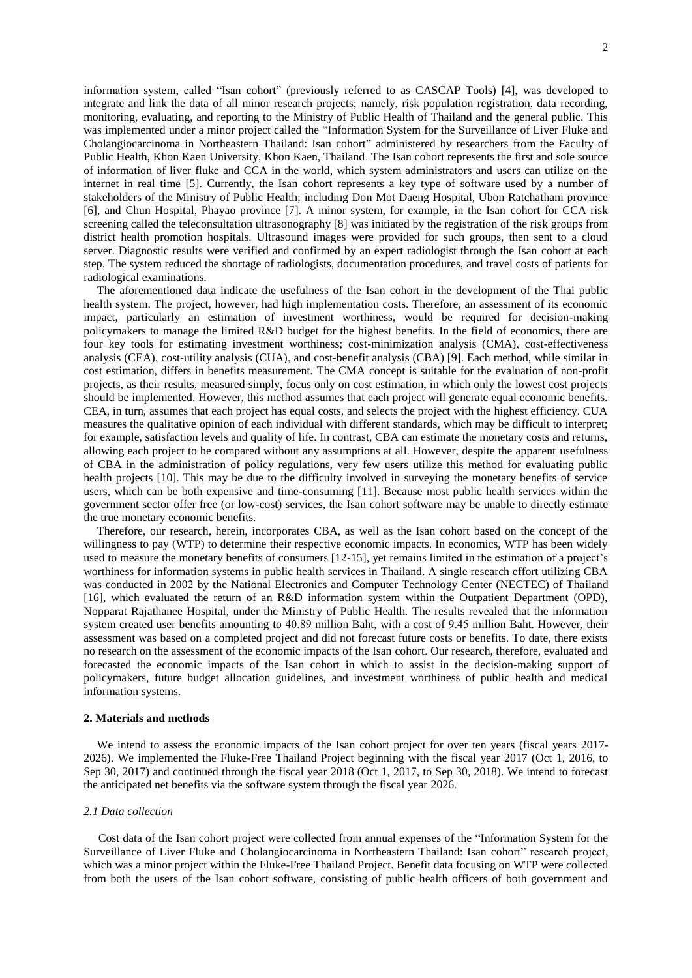information system, called "Isan cohort" (previously referred to as CASCAP Tools) [4], was developed to integrate and link the data of all minor research projects; namely, risk population registration, data recording, monitoring, evaluating, and reporting to the Ministry of Public Health of Thailand and the general public. This was implemented under a minor project called the "Information System for the Surveillance of Liver Fluke and Cholangiocarcinoma in Northeastern Thailand: Isan cohort" administered by researchers from the Faculty of Public Health, Khon Kaen University, Khon Kaen, Thailand. The Isan cohort represents the first and sole source of information of liver fluke and CCA in the world, which system administrators and users can utilize on the internet in real time [5]. Currently, the Isan cohort represents a key type of software used by a number of stakeholders of the Ministry of Public Health; including Don Mot Daeng Hospital, Ubon Ratchathani province [6], and Chun Hospital, Phayao province [7]. A minor system, for example, in the Isan cohort for CCA risk screening called the teleconsultation ultrasonography [8] was initiated by the registration of the risk groups from district health promotion hospitals. Ultrasound images were provided for such groups, then sent to a cloud server. Diagnostic results were verified and confirmed by an expert radiologist through the Isan cohort at each step. The system reduced the shortage of radiologists, documentation procedures, and travel costs of patients for radiological examinations.

The aforementioned data indicate the usefulness of the Isan cohort in the development of the Thai public health system. The project, however, had high implementation costs. Therefore, an assessment of its economic impact, particularly an estimation of investment worthiness, would be required for decision-making policymakers to manage the limited R&D budget for the highest benefits. In the field of economics, there are four key tools for estimating investment worthiness; cost-minimization analysis (CMA), cost-effectiveness analysis (CEA), cost-utility analysis (CUA), and cost-benefit analysis (CBA) [9]. Each method, while similar in cost estimation, differs in benefits measurement. The CMA concept is suitable for the evaluation of non-profit projects, as their results, measured simply, focus only on cost estimation, in which only the lowest cost projects should be implemented. However, this method assumes that each project will generate equal economic benefits. CEA, in turn, assumes that each project has equal costs, and selects the project with the highest efficiency. CUA measures the qualitative opinion of each individual with different standards, which may be difficult to interpret; for example, satisfaction levels and quality of life. In contrast, CBA can estimate the monetary costs and returns, allowing each project to be compared without any assumptions at all. However, despite the apparent usefulness of CBA in the administration of policy regulations, very few users utilize this method for evaluating public health projects [10]. This may be due to the difficulty involved in surveying the monetary benefits of service users, which can be both expensive and time-consuming [11]. Because most public health services within the government sector offer free (or low-cost) services, the Isan cohort software may be unable to directly estimate the true monetary economic benefits.

Therefore, our research, herein, incorporates CBA, as well as the Isan cohort based on the concept of the willingness to pay (WTP) to determine their respective economic impacts. In economics, WTP has been widely used to measure the monetary benefits of consumers [12-15], yet remains limited in the estimation of a project's worthiness for information systems in public health services in Thailand. A single research effort utilizing CBA was conducted in 2002 by the National Electronics and Computer Technology Center (NECTEC) of Thailand [16], which evaluated the return of an R&D information system within the Outpatient Department (OPD), Nopparat Rajathanee Hospital, under the Ministry of Public Health. The results revealed that the information system created user benefits amounting to 40.89 million Baht, with a cost of 9.45 million Baht. However, their assessment was based on a completed project and did not forecast future costs or benefits. To date, there exists no research on the assessment of the economic impacts of the Isan cohort. Our research, therefore, evaluated and forecasted the economic impacts of the Isan cohort in which to assist in the decision-making support of policymakers, future budget allocation guidelines, and investment worthiness of public health and medical information systems.

# **2. Materials and methods**

We intend to assess the economic impacts of the Isan cohort project for over ten years (fiscal years 2017-2026). We implemented the Fluke-Free Thailand Project beginning with the fiscal year 2017 (Oct 1, 2016, to Sep 30, 2017) and continued through the fiscal year 2018 (Oct 1, 2017, to Sep 30, 2018). We intend to forecast the anticipated net benefits via the software system through the fiscal year 2026.

# *2.1 Data collection*

Cost data of the Isan cohort project were collected from annual expenses of the "Information System for the Surveillance of Liver Fluke and Cholangiocarcinoma in Northeastern Thailand: Isan cohort" research project, which was a minor project within the Fluke-Free Thailand Project. Benefit data focusing on WTP were collected from both the users of the Isan cohort software, consisting of public health officers of both government and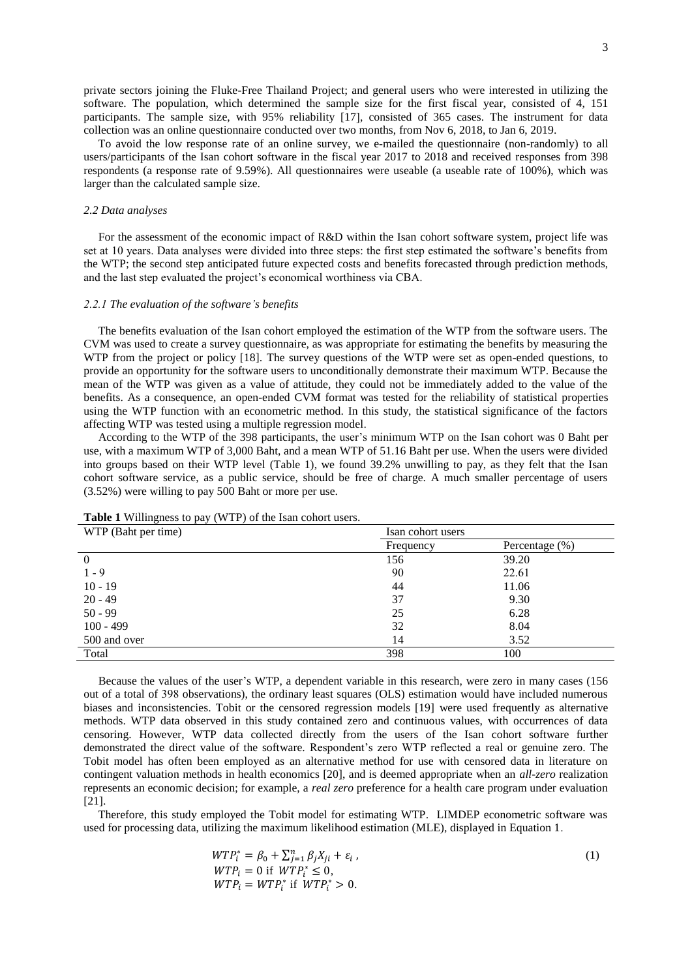private sectors joining the Fluke-Free Thailand Project; and general users who were interested in utilizing the software. The population, which determined the sample size for the first fiscal year, consisted of 4, 151 participants. The sample size, with 95% reliability [17], consisted of 365 cases. The instrument for data collection was an online questionnaire conducted over two months, from Nov 6, 2018, to Jan 6, 2019.

To avoid the low response rate of an online survey, we e-mailed the questionnaire (non-randomly) to all users/participants of the Isan cohort software in the fiscal year 2017 to 2018 and received responses from 398 respondents (a response rate of 9.59%). All questionnaires were useable (a useable rate of 100%), which was larger than the calculated sample size.

#### *2.2 Data analyses*

 For the assessment of the economic impact of R&D within the Isan cohort software system, project life was set at 10 years. Data analyses were divided into three steps: the first step estimated the software's benefits from the WTP; the second step anticipated future expected costs and benefits forecasted through prediction methods, and the last step evaluated the project's economical worthiness via CBA.

#### *2.2.1 The evaluation of the software's benefits*

 The benefits evaluation of the Isan cohort employed the estimation of the WTP from the software users. The CVM was used to create a survey questionnaire, as was appropriate for estimating the benefits by measuring the WTP from the project or policy [18]. The survey questions of the WTP were set as open-ended questions, to provide an opportunity for the software users to unconditionally demonstrate their maximum WTP. Because the mean of the WTP was given as a value of attitude, they could not be immediately added to the value of the benefits. As a consequence, an open-ended CVM format was tested for the reliability of statistical properties using the WTP function with an econometric method. In this study, the statistical significance of the factors affecting WTP was tested using a multiple regression model.

 According to the WTP of the 398 participants, the user's minimum WTP on the Isan cohort was 0 Baht per use, with a maximum WTP of 3,000 Baht, and a mean WTP of 51.16 Baht per use. When the users were divided into groups based on their WTP level (Table 1), we found 39.2% unwilling to pay, as they felt that the Isan cohort software service, as a public service, should be free of charge. A much smaller percentage of users (3.52%) were willing to pay 500 Baht or more per use.

| WTP (Baht per time) | Isan cohort users |                    |  |  |
|---------------------|-------------------|--------------------|--|--|
|                     | Frequency         | Percentage $(\% )$ |  |  |
| 0                   | 156               | 39.20              |  |  |
| $1 - 9$             | 90                | 22.61              |  |  |
| $10 - 19$           | 44                | 11.06              |  |  |
| $20 - 49$           | 37                | 9.30               |  |  |
| $50 - 99$           | 25                | 6.28               |  |  |
| $100 - 499$         | 32                | 8.04               |  |  |
| 500 and over        | 14                | 3.52               |  |  |
| Total               | 398               | 100                |  |  |

**Table 1** Willingness to pay (WTP) of the Isan cohort users.

 Because the values of the user's WTP, a dependent variable in this research, were zero in many cases (156 out of a total of 398 observations), the ordinary least squares (OLS) estimation would have included numerous biases and inconsistencies. Tobit or the censored regression models [19] were used frequently as alternative methods. WTP data observed in this study contained zero and continuous values, with occurrences of data censoring. However, WTP data collected directly from the users of the Isan cohort software further demonstrated the direct value of the software. Respondent's zero WTP reflected a real or genuine zero. The Tobit model has often been employed as an alternative method for use with censored data in literature on contingent valuation methods in health economics [20], and is deemed appropriate when an *all-zero* realization represents an economic decision; for example, a *real zero* preference for a health care program under evaluation [21].

 Therefore, this study employed the Tobit model for estimating WTP. LIMDEP econometric software was used for processing data, utilizing the maximum likelihood estimation (MLE), displayed in Equation 1.

$$
WTP_i^* = \beta_0 + \sum_{j=1}^n \beta_j X_{ji} + \varepsilon_i, WTP_i = 0 \text{ if } WTP_i^* \le 0, WTP_i = WTP_i^* \text{ if } WTP_i^* > 0.
$$
 (1)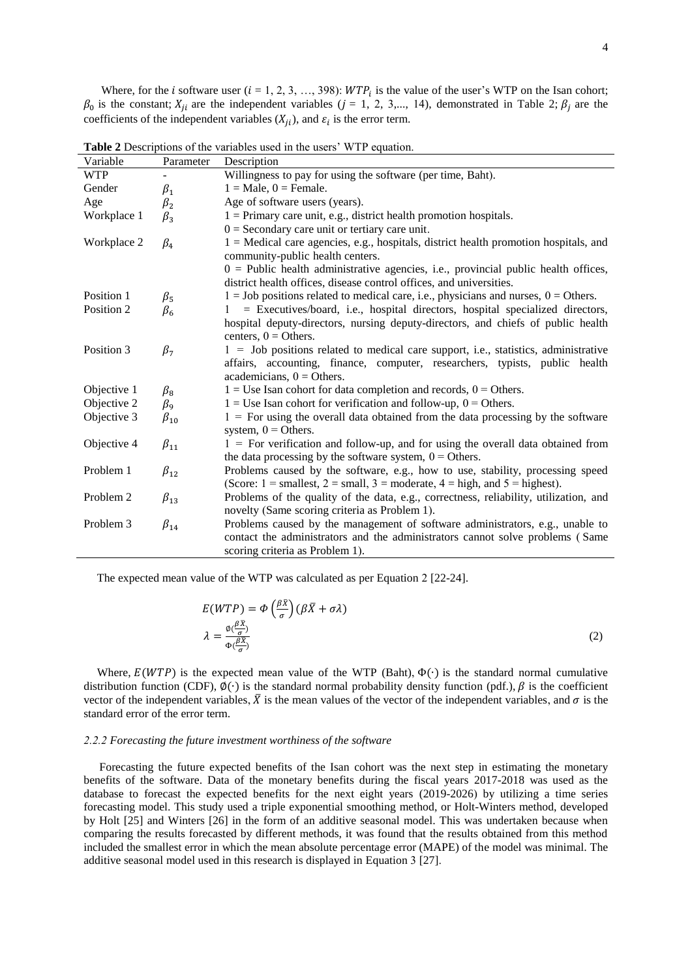Where, for the *i* software user  $(i = 1, 2, 3, ..., 398)$ :  $WTP_i$  is the value of the user's WTP on the Isan cohort;  $\beta_0$  is the constant;  $X_{ji}$  are the independent variables (*j* = 1, 2, 3,..., 14), demonstrated in Table 2;  $\beta_j$  are the coefficients of the independent variables  $(X_{ji})$ , and  $\varepsilon_i$  is the error term.

| Variable                 | Parameter    | Description                                                                                                                                                       |
|--------------------------|--------------|-------------------------------------------------------------------------------------------------------------------------------------------------------------------|
| <b>WTP</b>               |              | Willingness to pay for using the software (per time, Baht).                                                                                                       |
| Gender                   | $\beta_1$    | $1 = Male$ , $0 = Female$ .                                                                                                                                       |
| Age                      | $\beta_2$    | Age of software users (years).                                                                                                                                    |
| Workplace 1              | $\beta_3$    | $1 =$ Primary care unit, e.g., district health promotion hospitals.                                                                                               |
|                          |              | $0 =$ Secondary care unit or tertiary care unit.                                                                                                                  |
| Workplace 2              | $\beta_4$    | 1 = Medical care agencies, e.g., hospitals, district health promotion hospitals, and<br>community-public health centers.                                          |
|                          |              | $0 =$ Public health administrative agencies, i.e., provincial public health offices,                                                                              |
|                          |              | district health offices, disease control offices, and universities.                                                                                               |
| Position 1<br>Position 2 | $\beta_{5}$  | $1 =$ Job positions related to medical care, i.e., physicians and nurses, $0 =$ Others.                                                                           |
|                          | $\beta_6$    | = Executives/board, i.e., hospital directors, hospital specialized directors,<br>hospital deputy-directors, nursing deputy-directors, and chiefs of public health |
|                          |              | centers, $0 =$ Others.                                                                                                                                            |
| Position 3               |              | $1 =$ Job positions related to medical care support, i.e., statistics, administrative                                                                             |
|                          | $\beta_7$    | affairs, accounting, finance, computer, researchers, typists, public health                                                                                       |
|                          |              | academicians, $0 =$ Others.                                                                                                                                       |
| Objective 1              | $\beta_8$    | $1 = Use$ Isan cohort for data completion and records, $0 = Others$ .                                                                                             |
| Objective 2              | $\beta_9$    | $1 =$ Use Isan cohort for verification and follow-up, $0 =$ Others.                                                                                               |
| Objective 3              | $\beta_{10}$ | $1 =$ For using the overall data obtained from the data processing by the software                                                                                |
|                          |              | system, $0 =$ Others.                                                                                                                                             |
| Objective 4              | $\beta_{11}$ | $1 =$ For verification and follow-up, and for using the overall data obtained from                                                                                |
|                          |              | the data processing by the software system, $0 =$ Others.                                                                                                         |
| Problem 1                | $\beta_{12}$ | Problems caused by the software, e.g., how to use, stability, processing speed                                                                                    |
|                          |              | (Score: $1 =$ smallest, $2 =$ small, $3 =$ moderate, $4 =$ high, and $5 =$ highest).                                                                              |
| Problem 2                | $\beta_{13}$ | Problems of the quality of the data, e.g., correctness, reliability, utilization, and                                                                             |
|                          |              | novelty (Same scoring criteria as Problem 1).                                                                                                                     |
| Problem 3                | $\beta_{14}$ | Problems caused by the management of software administrators, e.g., unable to                                                                                     |
|                          |              | contact the administrators and the administrators cannot solve problems (Same                                                                                     |
|                          |              | scoring criteria as Problem 1).                                                                                                                                   |

**Table 2** Descriptions of the variables used in the users' WTP equation.

The expected mean value of the WTP was calculated as per Equation 2 [22-24].

$$
E(WTP) = \Phi\left(\frac{\beta \bar{X}}{\sigma}\right)(\beta \bar{X} + \sigma \lambda)
$$

$$
\lambda = \frac{\phi(\frac{\beta \bar{X}}{\sigma})}{\Phi(\frac{\beta \bar{X}}{\sigma})}
$$
(2)

Where,  $E(WTP)$  is the expected mean value of the WTP (Baht),  $\Phi(\cdot)$  is the standard normal cumulative distribution function (CDF),  $\varphi(\cdot)$  is the standard normal probability density function (pdf.),  $\beta$  is the coefficient vector of the independent variables,  $\bar{X}$  is the mean values of the vector of the independent variables, and  $\sigma$  is the standard error of the error term.

#### *2.2.2 Forecasting the future investment worthiness of the software*

Forecasting the future expected benefits of the Isan cohort was the next step in estimating the monetary benefits of the software. Data of the monetary benefits during the fiscal years 2017-2018 was used as the database to forecast the expected benefits for the next eight years (2019-2026) by utilizing a time series forecasting model. This study used a triple exponential smoothing method, or Holt-Winters method, developed by Holt [25] and Winters [26] in the form of an additive seasonal model. This was undertaken because when comparing the results forecasted by different methods, it was found that the results obtained from this method included the smallest error in which the mean absolute percentage error (MAPE) of the model was minimal. The additive seasonal model used in this research is displayed in Equation 3 [27].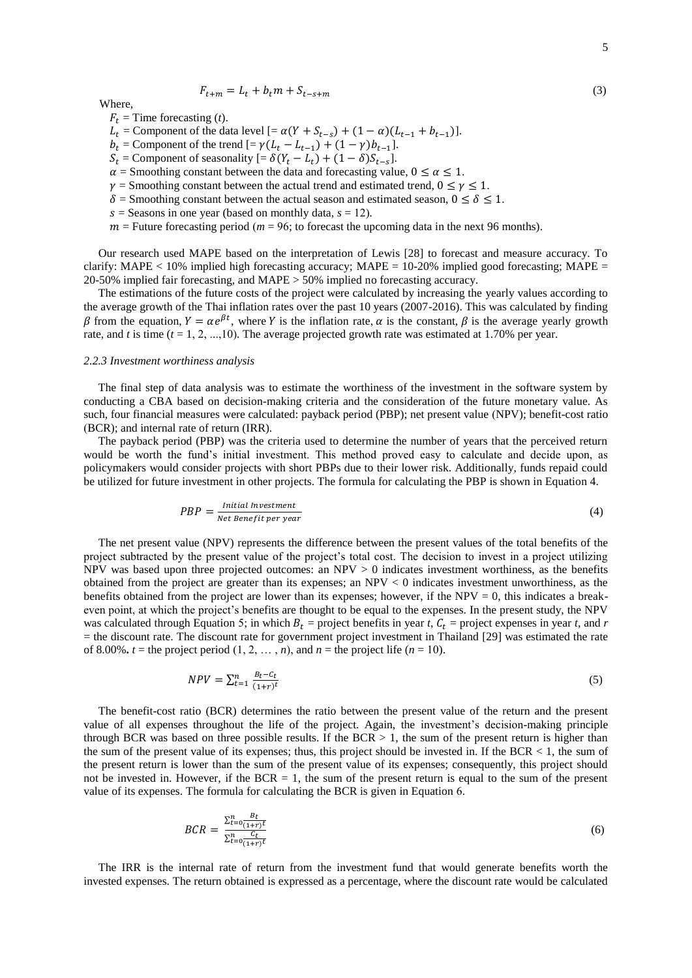$$
F_{t+m} = L_t + b_t m + S_{t-s+m}
$$
\n(3)

Where,

- $F_t$  = Time forecasting (*t*).
- $L_t$  = Component of the data level  $[ = \alpha(Y + S_{t-s}) + (1 \alpha)(L_{t-1} + b_{t-1})].$
- $b_t$  = Component of the trend  $[=\gamma (L_t L_{t-1}) + (1 \gamma) b_{t-1}].$
- $S_t$  = Component of seasonality  $[=\delta(Y_t L_t) + (1 \delta)S_{t-s}]$ .
- $\alpha$  = Smoothing constant between the data and forecasting value,  $0 \le \alpha \le 1$ .
- $\nu$  = Smoothing constant between the actual trend and estimated trend,  $0 \le \nu \le 1$ .
- $\delta$  = Smoothing constant between the actual season and estimated season,  $0 \le \delta \le 1$ .
- $s =$  Seasons in one year (based on monthly data,  $s = 12$ ).
- $m =$  Future forecasting period ( $m = 96$ ; to forecast the upcoming data in the next 96 months).

 Our research used MAPE based on the interpretation of Lewis [28] to forecast and measure accuracy. To clarify: MAPE  $< 10\%$  implied high forecasting accuracy; MAPE = 10-20% implied good forecasting; MAPE = 20-50% implied fair forecasting, and MAPE > 50% implied no forecasting accuracy.

 The estimations of the future costs of the project were calculated by increasing the yearly values according to the average growth of the Thai inflation rates over the past 10 years (2007-2016). This was calculated by finding  $\beta$  from the equation,  $Y = \alpha e^{\beta t}$ , where Y is the inflation rate,  $\alpha$  is the constant,  $\beta$  is the average yearly growth rate, and *t* is time  $(t = 1, 2, ..., 10)$ . The average projected growth rate was estimated at 1.70% per year.

### *2.2.3 Investment worthiness analysis*

 The final step of data analysis was to estimate the worthiness of the investment in the software system by conducting a CBA based on decision-making criteria and the consideration of the future monetary value. As such, four financial measures were calculated: payback period (PBP); net present value (NPV); benefit-cost ratio (BCR); and internal rate of return (IRR).

 The payback period (PBP) was the criteria used to determine the number of years that the perceived return would be worth the fund's initial investment. This method proved easy to calculate and decide upon, as policymakers would consider projects with short PBPs due to their lower risk. Additionally, funds repaid could be utilized for future investment in other projects. The formula for calculating the PBP is shown in Equation 4.

$$
PBP = \frac{Initial\ Investment}{Net\ Benefit\ per\ year} \tag{4}
$$

 The net present value (NPV) represents the difference between the present values of the total benefits of the project subtracted by the present value of the project's total cost. The decision to invest in a project utilizing NPV was based upon three projected outcomes: an NPV  $> 0$  indicates investment worthiness, as the benefits obtained from the project are greater than its expenses; an NPV < 0 indicates investment unworthiness, as the benefits obtained from the project are lower than its expenses; however, if the  $NPV = 0$ , this indicates a breakeven point, at which the project's benefits are thought to be equal to the expenses. In the present study, the NPV was calculated through Equation 5; in which  $B_t$  = project benefits in year *t*,  $C_t$  = project expenses in year *t*, and *r* = the discount rate. The discount rate for government project investment in Thailand [29] was estimated the rate of 8.00%  $t =$  the project period  $(1, 2, \ldots, n)$ , and  $n =$  the project life  $(n = 10)$ .

$$
NPV = \sum_{t=1}^{n} \frac{B_t - C_t}{(1+r)^t} \tag{5}
$$

 The benefit-cost ratio (BCR) determines the ratio between the present value of the return and the present value of all expenses throughout the life of the project. Again, the investment's decision-making principle through BCR was based on three possible results. If the BCR  $> 1$ , the sum of the present return is higher than the sum of the present value of its expenses; thus, this project should be invested in. If the BCR  $< 1$ , the sum of the present return is lower than the sum of the present value of its expenses; consequently, this project should not be invested in. However, if the BCR  $= 1$ , the sum of the present return is equal to the sum of the present value of its expenses. The formula for calculating the BCR is given in Equation 6.

$$
BCR = \frac{\sum_{t=0}^{n} \frac{B_t}{(1+r)^t}}{\sum_{t=0}^{n} \frac{C_t}{(1+r)^t}}
$$
(6)

 The IRR is the internal rate of return from the investment fund that would generate benefits worth the invested expenses. The return obtained is expressed as a percentage, where the discount rate would be calculated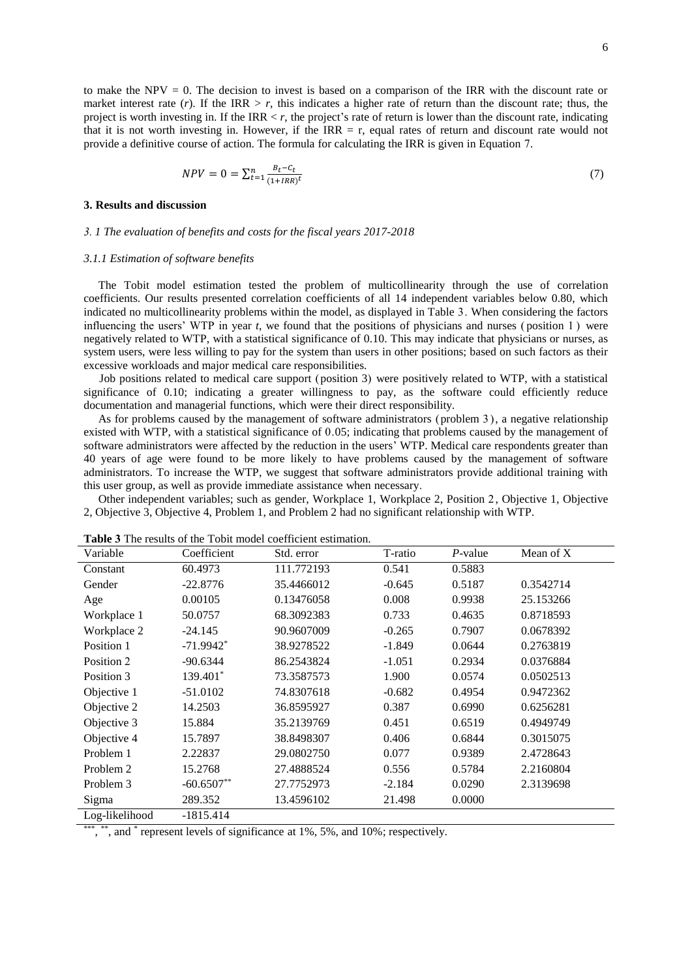$$
NPV = 0 = \sum_{t=1}^{n} \frac{B_t - C_t}{(1 + IRR)^t}
$$
(7)

#### **3. Results and discussion**

#### *3. 1 The evaluation of benefits and costs for the fiscal years 2017-2018*

#### *3.1.1 Estimation of software benefits*

 The Tobit model estimation tested the problem of multicollinearity through the use of correlation coefficients. Our results presented correlation coefficients of all 14 independent variables below 0.80, which indicated no multicollinearity problems within the model, as displayed in Table 3. When considering the factors influencing the users' WTP in year *t*, we found that the positions of physicians and nurses ( position 1 ) were negatively related to WTP, with a statistical significance of 0.10. This may indicate that physicians or nurses, as system users, were less willing to pay for the system than users in other positions; based on such factors as their excessive workloads and major medical care responsibilities.

Job positions related to medical care support (position 3) were positively related to WTP, with a statistical significance of 0.10; indicating a greater willingness to pay, as the software could efficiently reduce documentation and managerial functions, which were their direct responsibility.

 As for problems caused by the management of software administrators (problem 3 ), a negative relationship existed with WTP, with a statistical significance of 0.05; indicating that problems caused by the management of software administrators were affected by the reduction in the users' WTP. Medical care respondents greater than 40 years of age were found to be more likely to have problems caused by the management of software administrators. To increase the WTP, we suggest that software administrators provide additional training with this user group, as well as provide immediate assistance when necessary.

 Other independent variables; such as gender, Workplace 1, Workplace 2, Position 2, Objective 1, Objective 2, Objective 3, Objective 4, Problem 1, and Problem 2 had no significant relationship with WTP.

| Coefficient             | Std. error  | T-ratio  | $P$ -value | Mean of X |
|-------------------------|-------------|----------|------------|-----------|
| 60.4973                 | 111.772193  | 0.541    | 0.5883     |           |
| $-22.8776$              | 35.4466012  | $-0.645$ | 0.5187     | 0.3542714 |
| 0.00105                 | 0.13476058  | 0.008    | 0.9938     | 25.153266 |
| 50.0757                 | 68.3092383  | 0.733    | 0.4635     | 0.8718593 |
| $-24.145$               | 90.9607009  | $-0.265$ | 0.7907     | 0.0678392 |
| $-71.9942$ <sup>*</sup> | 38.9278522  | $-1.849$ | 0.0644     | 0.2763819 |
| $-90.6344$              | 86.2543824  | $-1.051$ | 0.2934     | 0.0376884 |
| 139.401*                | 73.3587573  | 1.900    | 0.0574     | 0.0502513 |
| $-51.0102$              | 74.8307618  | $-0.682$ | 0.4954     | 0.9472362 |
| 14.2503                 | 36.8595927  | 0.387    | 0.6990     | 0.6256281 |
| 15.884                  | 35.2139769  | 0.451    | 0.6519     | 0.4949749 |
| 15.7897                 | 38.8498307  | 0.406    | 0.6844     | 0.3015075 |
| 2.22837                 | 29.0802750  | 0.077    | 0.9389     | 2.4728643 |
| 15.2768                 | 27.4888524  | 0.556    | 0.5784     | 2.2160804 |
| $-60.6507**$            | 27.7752973  | $-2.184$ | 0.0290     | 2.3139698 |
| 289.352                 | 13.4596102  | 21.498   | 0.0000     |           |
|                         | $101 - 111$ |          |            |           |

| <b>Table 3</b> The results of the Tobit model coefficient estimation. |  |  |
|-----------------------------------------------------------------------|--|--|
|-----------------------------------------------------------------------|--|--|

Log-likelihood -1815.414

\*\*\* , \*\*, and  $*$  represent levels of significance at 1%, 5%, and 10%; respectively.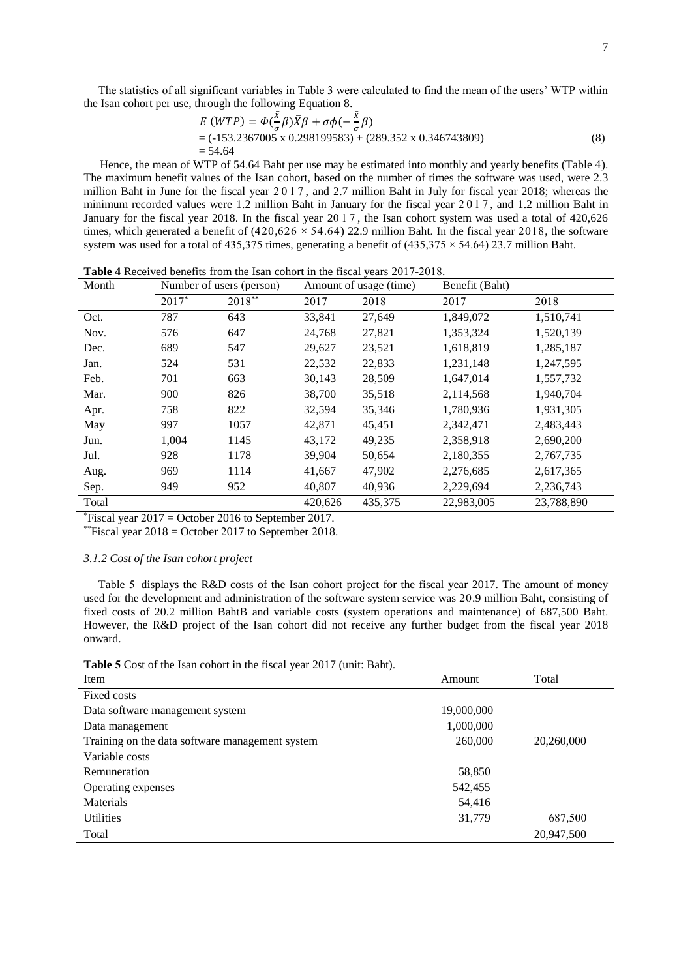The statistics of all significant variables in Table 3 were calculated to find the mean of the users' WTP within the Isan cohort per use, through the following Equation 8.

$$
E (WTP) = \Phi(\frac{\bar{X}}{\sigma}\beta)\bar{X}\beta + \sigma\phi(-\frac{\bar{X}}{\sigma}\beta)
$$
  
= (-153.2367005 x 0.298199583) + (289.352 x 0.346743809)  
= 54.64 (8)

 Hence, the mean of WTP of 54.64 Baht per use may be estimated into monthly and yearly benefits (Table 4). The maximum benefit values of the Isan cohort, based on the number of times the software was used, were 2.3 million Baht in June for the fiscal year 2 0 1 7 , and 2.7 million Baht in July for fiscal year 2018; whereas the minimum recorded values were 1.2 million Baht in January for the fiscal year 2 0 1 7 , and 1.2 million Baht in January for the fiscal year 2018. In the fiscal year 2017 , the Isan cohort system was used a total of 420,626 times, which generated a benefit of  $(420.626 \times 54.64)$  22.9 million Baht. In the fiscal year 2018, the software system was used for a total of 435,375 times, generating a benefit of  $(435,375 \times 54.64)$  23.7 million Baht.

| Month | Number of users (person) |        | Amount of usage (time) |         | Benefit (Baht) |            |
|-------|--------------------------|--------|------------------------|---------|----------------|------------|
|       | $2017*$                  | 2018** | 2017                   | 2018    | 2017           | 2018       |
| Oct.  | 787                      | 643    | 33,841                 | 27,649  | 1,849,072      | 1,510,741  |
| Nov.  | 576                      | 647    | 24,768                 | 27,821  | 1,353,324      | 1,520,139  |
| Dec.  | 689                      | 547    | 29,627                 | 23,521  | 1,618,819      | 1,285,187  |
| Jan.  | 524                      | 531    | 22,532                 | 22,833  | 1,231,148      | 1,247,595  |
| Feb.  | 701                      | 663    | 30,143                 | 28,509  | 1,647,014      | 1,557,732  |
| Mar.  | 900                      | 826    | 38,700                 | 35,518  | 2,114,568      | 1,940,704  |
| Apr.  | 758                      | 822    | 32,594                 | 35,346  | 1,780,936      | 1,931,305  |
| May   | 997                      | 1057   | 42,871                 | 45,451  | 2,342,471      | 2,483,443  |
| Jun.  | 1,004                    | 1145   | 43,172                 | 49,235  | 2,358,918      | 2,690,200  |
| Jul.  | 928                      | 1178   | 39,904                 | 50,654  | 2,180,355      | 2,767,735  |
| Aug.  | 969                      | 1114   | 41,667                 | 47,902  | 2,276,685      | 2,617,365  |
| Sep.  | 949                      | 952    | 40,807                 | 40,936  | 2,229,694      | 2,236,743  |
| Total |                          |        | 420,626                | 435,375 | 22,983,005     | 23,788,890 |

**Table 4** Received benefits from the Isan cohort in the fiscal years 2017-2018.

 $*$ Fiscal year 2017 = October 2016 to September 2017.

\*\*Fiscal year  $2018 =$ October 2017 to September 2018.

# *3.1.2 Cost of the Isan cohort project*

 Table 5 displays the R&D costs of the Isan cohort project for the fiscal year 2017. The amount of money used for the development and administration of the software system service was 20.9 million Baht, consisting of fixed costs of 20.2 million BahtB and variable costs (system operations and maintenance) of 687,500 Baht. However, the R&D project of the Isan cohort did not receive any further budget from the fiscal year 2018 onward.

**Table 5** Cost of the Isan cohort in the fiscal year 2017 (unit: Baht).

| Item                                            | Amount     | Total      |
|-------------------------------------------------|------------|------------|
| Fixed costs                                     |            |            |
| Data software management system                 | 19,000,000 |            |
| Data management                                 | 1,000,000  |            |
| Training on the data software management system | 260,000    | 20,260,000 |
| Variable costs                                  |            |            |
| Remuneration                                    | 58,850     |            |
| Operating expenses                              | 542,455    |            |
| <b>Materials</b>                                | 54,416     |            |
| <b>Utilities</b>                                | 31,779     | 687,500    |
| Total                                           |            | 20,947,500 |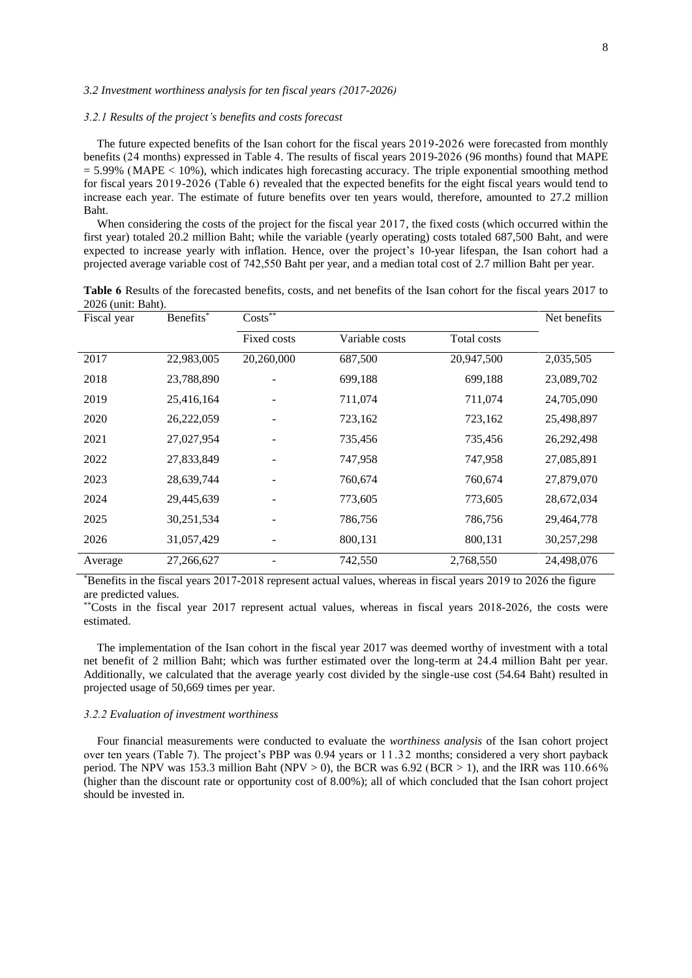# *3.2 Investment worthiness analysis for ten fiscal years (2017-2026)*

## *3.2.1 Results of the project's benefits and costs forecast*

The future expected benefits of the Isan cohort for the fiscal years 2019-2026 were forecasted from monthly benefits (24 months) expressed in Table 4. The results of fiscal years 2019-2026 (96 months) found that MAPE  $= 5.99\%$  (MAPE < 10%), which indicates high forecasting accuracy. The triple exponential smoothing method for fiscal years 2019-2026 (Table 6) revealed that the expected benefits for the eight fiscal years would tend to increase each year. The estimate of future benefits over ten years would, therefore, amounted to 27.2 million Baht.

When considering the costs of the project for the fiscal year 2017, the fixed costs (which occurred within the first year) totaled 20.2 million Baht; while the variable (yearly operating) costs totaled 687,500 Baht, and were expected to increase yearly with inflation. Hence, over the project's 10-year lifespan, the Isan cohort had a projected average variable cost of 742,550 Baht per year, and a median total cost of 2.7 million Baht per year.

**Table 6** Results of the forecasted benefits, costs, and net benefits of the Isan cohort for the fiscal years 2017 to 2026 (unit: Baht).

| Fiscal year | Benefits*  | $Costs^*$   |                |             | Net benefits |
|-------------|------------|-------------|----------------|-------------|--------------|
|             |            | Fixed costs | Variable costs | Total costs |              |
| 2017        | 22,983,005 | 20,260,000  | 687,500        | 20,947,500  | 2,035,505    |
| 2018        | 23,788,890 |             | 699,188        | 699,188     | 23,089,702   |
| 2019        | 25,416,164 |             | 711,074        | 711,074     | 24,705,090   |
| 2020        | 26,222,059 |             | 723,162        | 723,162     | 25,498,897   |
| 2021        | 27,027,954 |             | 735,456        | 735,456     | 26, 292, 498 |
| 2022        | 27,833,849 |             | 747,958        | 747,958     | 27,085,891   |
| 2023        | 28,639,744 |             | 760,674        | 760,674     | 27,879,070   |
| 2024        | 29,445,639 |             | 773,605        | 773,605     | 28,672,034   |
| 2025        | 30,251,534 |             | 786,756        | 786,756     | 29,464,778   |
| 2026        | 31,057,429 |             | 800,131        | 800,131     | 30,257,298   |
| Average     | 27,266,627 |             | 742,550        | 2,768,550   | 24,498,076   |

\*Benefits in the fiscal years 2017-2018 represent actual values, whereas in fiscal years 2019 to 2026 the figure are predicted values.

\*\*Costs in the fiscal year 2017 represent actual values, whereas in fiscal years 2018-2026, the costs were estimated.

The implementation of the Isan cohort in the fiscal year 2017 was deemed worthy of investment with a total net benefit of 2 million Baht; which was further estimated over the long-term at 24.4 million Baht per year. Additionally, we calculated that the average yearly cost divided by the single-use cost (54.64 Baht) resulted in projected usage of 50,669 times per year.

#### *3.2.2 Evaluation of investment worthiness*

Four financial measurements were conducted to evaluate the *worthiness analysis* of the Isan cohort project over ten years (Table 7). The project's PBP was 0.94 years or 11.32 months; considered a very short payback period. The NPV was 153.3 million Baht (NPV  $> 0$ ), the BCR was 6.92 (BCR  $> 1$ ), and the IRR was 110.66% (higher than the discount rate or opportunity cost of 8.00%); all of which concluded that the Isan cohort project should be invested in.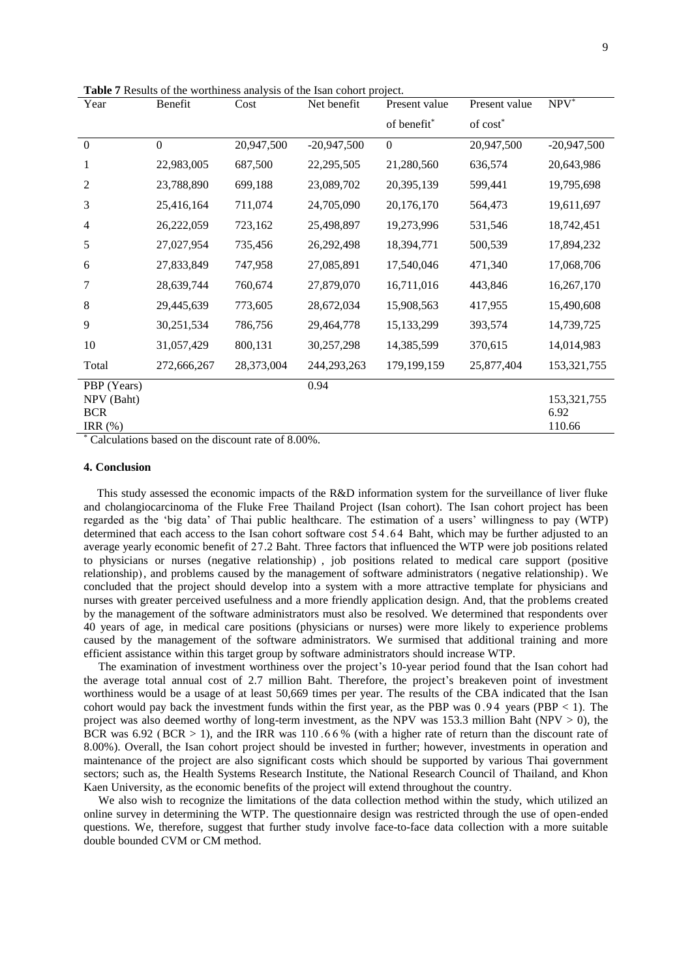**Table 7** Results of the worthiness analysis of the Isan cohort project.

| Year           | Benefit          | Cost       | Net benefit   | Present value | Present value        | NPV <sup>*</sup> |
|----------------|------------------|------------|---------------|---------------|----------------------|------------------|
|                |                  |            |               | of benefit*   | of cost <sup>*</sup> |                  |
| $\overline{0}$ | $\boldsymbol{0}$ | 20,947,500 | $-20,947,500$ | $\theta$      | 20,947,500           | $-20,947,500$    |
| 1              | 22,983,005       | 687,500    | 22,295,505    | 21,280,560    | 636,574              | 20,643,986       |
| 2              | 23,788,890       | 699,188    | 23,089,702    | 20,395,139    | 599,441              | 19,795,698       |
| 3              | 25,416,164       | 711,074    | 24,705,090    | 20,176,170    | 564,473              | 19,611,697       |
| 4              | 26,222,059       | 723,162    | 25,498,897    | 19,273,996    | 531,546              | 18,742,451       |
| 5              | 27,027,954       | 735,456    | 26,292,498    | 18,394,771    | 500,539              | 17,894,232       |
| 6              | 27,833,849       | 747,958    | 27,085,891    | 17,540,046    | 471,340              | 17,068,706       |
| 7              | 28,639,744       | 760,674    | 27,879,070    | 16,711,016    | 443,846              | 16,267,170       |
| 8              | 29,445,639       | 773,605    | 28,672,034    | 15,908,563    | 417,955              | 15,490,608       |
| 9              | 30,251,534       | 786,756    | 29,464,778    | 15,133,299    | 393,574              | 14,739,725       |
| 10             | 31,057,429       | 800,131    | 30,257,298    | 14,385,599    | 370,615              | 14,014,983       |
| Total          | 272,666,267      | 28,373,004 | 244,293,263   | 179,199,159   | 25,877,404           | 153,321,755      |
| PBP (Years)    |                  |            | 0.94          |               |                      |                  |
| NPV (Baht)     |                  |            |               |               |                      | 153,321,755      |
| <b>BCR</b>     |                  |            |               |               |                      | 6.92             |
| IRR $(\%)$     | $\cdot$          |            | 0.0.000       |               |                      | 110.66           |

Calculations based on the discount rate of 8.00%.

# **4. Conclusion**

This study assessed the economic impacts of the R&D information system for the surveillance of liver fluke and cholangiocarcinoma of the Fluke Free Thailand Project (Isan cohort). The Isan cohort project has been regarded as the 'big data' of Thai public healthcare. The estimation of a users' willingness to pay (WTP) determined that each access to the Isan cohort software cost 54.64 Baht, which may be further adjusted to an average yearly economic benefit of 27.2 Baht. Three factors that influenced the WTP were job positions related to physicians or nurses (negative relationship) , job positions related to medical care support (positive relationship), and problems caused by the management of software administrators (negative relationship). We concluded that the project should develop into a system with a more attractive template for physicians and nurses with greater perceived usefulness and a more friendly application design. And, that the problems created by the management of the software administrators must also be resolved. We determined that respondents over 40 years of age, in medical care positions (physicians or nurses) were more likely to experience problems caused by the management of the software administrators. We surmised that additional training and more efficient assistance within this target group by software administrators should increase WTP.

 The examination of investment worthiness over the project's 10-year period found that the Isan cohort had the average total annual cost of 2.7 million Baht. Therefore, the project's breakeven point of investment worthiness would be a usage of at least 50,669 times per year. The results of the CBA indicated that the Isan cohort would pay back the investment funds within the first year, as the PBP was  $0.94$  years (PBP < 1). The project was also deemed worthy of long-term investment, as the NPV was 153.3 million Baht (NPV  $> 0$ ), the BCR was  $6.92$  (BCR > 1), and the IRR was 110.66% (with a higher rate of return than the discount rate of 8.00%). Overall, the Isan cohort project should be invested in further; however, investments in operation and maintenance of the project are also significant costs which should be supported by various Thai government sectors; such as, the Health Systems Research Institute, the National Research Council of Thailand, and Khon Kaen University, as the economic benefits of the project will extend throughout the country.

 We also wish to recognize the limitations of the data collection method within the study, which utilized an online survey in determining the WTP. The questionnaire design was restricted through the use of open-ended questions. We, therefore, suggest that further study involve face-to-face data collection with a more suitable double bounded CVM or CM method.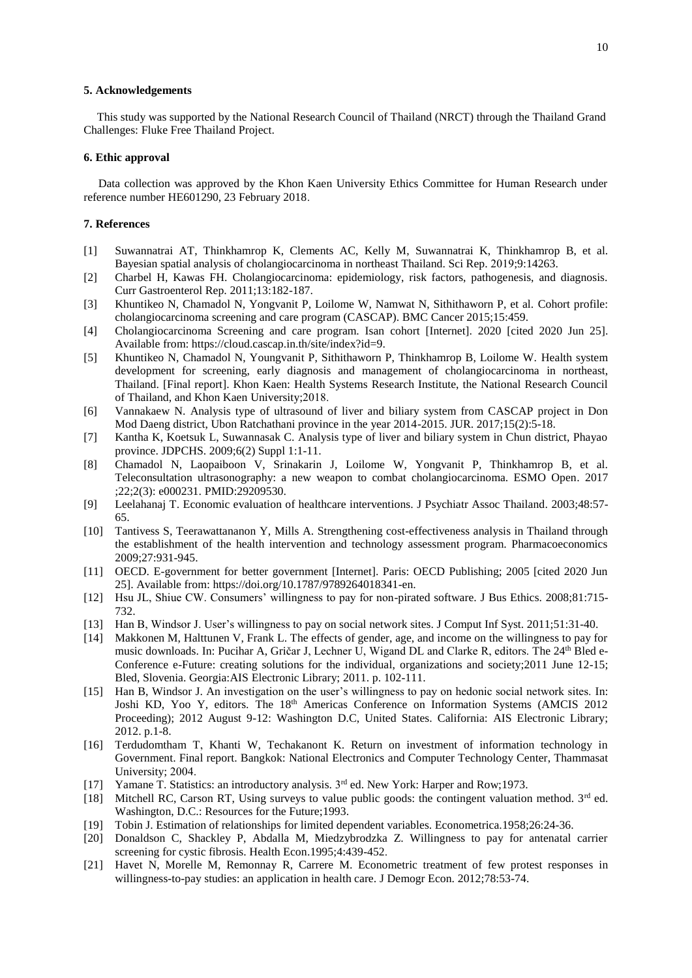#### **5. Acknowledgements**

This study was supported by the National Research Council of Thailand (NRCT) through the Thailand Grand Challenges: Fluke Free Thailand Project.

## **6. Ethic approval**

 Data collection was approved by the Khon Kaen University Ethics Committee for Human Research under reference number HE601290, 23 February 2018.

# **7. References**

- [1] Suwannatrai AT, Thinkhamrop K, Clements AC, Kelly M, Suwannatrai K, Thinkhamrop B, et al. Bayesian spatial analysis of cholangiocarcinoma in northeast Thailand. Sci Rep. 2019;9:14263.
- [2] Charbel H, Kawas FH. Cholangiocarcinoma: epidemiology, risk factors, pathogenesis, and diagnosis. Curr Gastroenterol Rep. 2011;13:182-187.
- [3] Khuntikeo N, Chamadol N, Yongvanit P, Loilome W, Namwat N, Sithithaworn P, et al. Cohort profile: cholangiocarcinoma screening and care program (CASCAP). BMC Cancer 2015;15:459.
- [4] Cholangiocarcinoma Screening and care program. Isan cohort [Internet]. 2020 [cited 2020 Jun 25]. Available from: https://cloud.cascap.in.th/site/index?id=9.
- [5] Khuntikeo N, Chamadol N, Youngvanit P, Sithithaworn P, Thinkhamrop B, Loilome W. Health system development for screening, early diagnosis and management of cholangiocarcinoma in northeast, Thailand. [Final report]. Khon Kaen: Health Systems Research Institute, the National Research Council of Thailand, and Khon Kaen University;2018.
- [6] Vannakaew N. Analysis type of ultrasound of liver and biliary system from CASCAP project in Don Mod Daeng district, Ubon Ratchathani province in the year 2014-2015. JUR. 2017;15(2):5-18.
- [7] Kantha K, Koetsuk L, Suwannasak C. Analysis type of liver and biliary system in Chun district, Phayao province. JDPCHS. 2009;6(2) Suppl 1:1-11.
- [8] Chamadol N, Laopaiboon V, Srinakarin J, Loilome W, Yongvanit P, Thinkhamrop B, et al. Teleconsultation ultrasonography: a new weapon to combat cholangiocarcinoma. ESMO Open. 2017 ;22;2(3): e000231. PMID:29209530.
- [9] Leelahanaj T. Economic evaluation of healthcare interventions. J Psychiatr Assoc Thailand. 2003;48:57- 65.
- [10] Tantivess S, Teerawattananon Y, Mills A. Strengthening cost-effectiveness analysis in Thailand through the establishment of the health intervention and technology assessment program. Pharmacoeconomics 2009;27:931-945.
- [11] OECD. E-government for better government [Internet]. Paris: OECD Publishing; 2005 [cited 2020 Jun 25]. Available from: https://doi.org/10.1787/9789264018341-en.
- [12] Hsu JL, Shiue CW. Consumers' willingness to pay for non-pirated software. J Bus Ethics. 2008;81:715- 732.
- 
- [13] Han B, Windsor J. User's willingness to pay on social network sites. J Comput Inf Syst. 2011;51:31-40. [14] Makkonen M, Halttunen V, Frank L. The effects of gender, age, and income on the willingness to pay for Makkonen M, Halttunen V, Frank L. The effects of gender, age, and income on the willingness to pay for music downloads. In: Pucihar A, Gričar J, Lechner U, Wigand DL and Clarke R, editors. The 24<sup>th</sup> Bled e-Conference e-Future: creating solutions for the individual, organizations and society;2011 June 12-15; Bled, Slovenia. Georgia:AIS Electronic Library; 2011. p. 102-111.
- [15] Han B, Windsor J. An investigation on the user's willingness to pay on hedonic social network sites. In: Joshi KD, Yoo Y, editors. The 18<sup>th</sup> Americas Conference on Information Systems (AMCIS 2012 Proceeding); 2012 August 9-12: Washington D.C, United States. California: AIS Electronic Library; 2012. p.1-8.
- [16] Terdudomtham T, Khanti W, Techakanont K. Return on investment of information technology in Government. Final report. Bangkok: National Electronics and Computer Technology Center, Thammasat University; 2004.
- [17] Yamane T. Statistics: an introductory analysis.  $3<sup>rd</sup>$  ed. New York: Harper and Row;1973.
- [18] Mitchell RC, Carson RT, Using surveys to value public goods: the contingent valuation method. 3rd ed. Washington, D.C.: Resources for the Future;1993.
- [19] Tobin J. Estimation of relationships for limited dependent variables. Econometrica.1958;26:24-36.
- [20] Donaldson C, Shackley P, Abdalla M, Miedzybrodzka Z. Willingness to pay for antenatal carrier screening for cystic fibrosis. Health Econ.1995;4:439-452.
- [21] Havet N, Morelle M, Remonnay R, Carrere M. Econometric treatment of few protest responses in willingness-to-pay studies: an application in health care. J Demogr Econ. 2012;78:53-74.